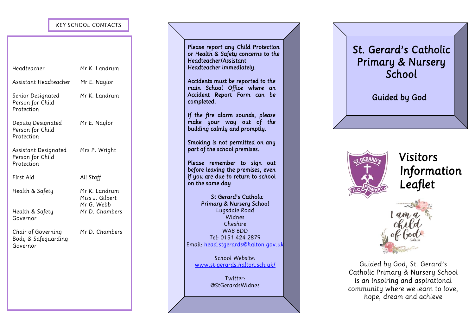# *KEY SCHOOL CONTACTS*

| Headteacher                                           | Mr K. Landrum                                  |  | or reduce x sujety concerns to the<br>Headteacher/Assistant<br>Headteacher immediately.                                   |  |            | <b>Primary &amp; Nursery</b><br>School                                                                                                                |
|-------------------------------------------------------|------------------------------------------------|--|---------------------------------------------------------------------------------------------------------------------------|--|------------|-------------------------------------------------------------------------------------------------------------------------------------------------------|
| Assistant Headteacher                                 | Mr E. Naylor                                   |  | Accidents must be reported to the<br>main School Office where an                                                          |  |            |                                                                                                                                                       |
| Senior Designated<br>Person for Child<br>Protection   | Mr K. Landrum                                  |  | Accident Report Form can be<br>completed.                                                                                 |  |            | <b>Guided by God</b>                                                                                                                                  |
| Deputy Designated<br>Person for Child<br>Protection   | Mr E. Naylor                                   |  | If the fire alarm sounds, please<br>make your way out of the<br>building calmly and promptly.                             |  |            |                                                                                                                                                       |
| Assistant Designated<br>Person for Child              | Mrs P. Wright                                  |  | Smoking is not permitted on any<br>part of the school premises.                                                           |  | ST. GERARD | Visitors                                                                                                                                              |
| Protection<br>First Aid                               | All Staff                                      |  | Please remember to sign out<br>before leaving the premises, even<br>if you are due to return to school<br>on the same day |  |            | Informa<br>Leaflet                                                                                                                                    |
| Health & Safety                                       | Mr K. Landrum<br>Miss J. Gilbert<br>Mr G. Webb |  | St Gerard's Catholic<br><b>Primary &amp; Nursery School</b>                                                               |  |            |                                                                                                                                                       |
| Health & Safety<br>Governor                           | Mr D. Chambers                                 |  | Lugsdale Road<br>Widnes<br>Cheshire                                                                                       |  |            |                                                                                                                                                       |
| Chair of Governing<br>Body & Safeguarding<br>Governor | Mr D. Chambers                                 |  | WA8 6DD<br>Tel: 0151 424 2879<br>Email: head.stgerards@halton.gov.uk                                                      |  |            |                                                                                                                                                       |
|                                                       |                                                |  | School Website:<br>www.st-gerards.halton.sch.uk/<br>Twitter:<br>@StGerardsWidnes                                          |  |            | Guided by God, St. Gerard<br>Catholic Primary & Nursery So<br>is an inspiring and aspiratio<br>community where we learn to<br>hope, dream and achieve |
|                                                       |                                                |  |                                                                                                                           |  |            |                                                                                                                                                       |

## *Please report any Child Protection or Health & Safety concerns to the Headteacher/Assistant Headteacher immediately.*

# *St. Gerard's Catholic Primary & Nursery School*



 *Information Leaflet* 



*Guided by God, St. Gerard's Catholic Primary & Nursery School is an inspiring and aspirational community where we learn to love,*